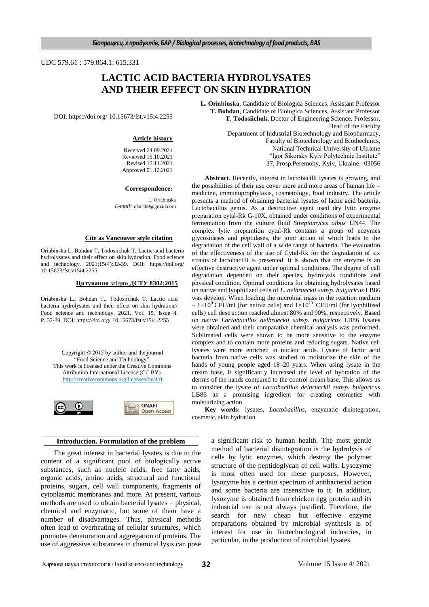UDC 579.61 : 579.864.1: 615.331

# **LACTIC ACID BACTERIA HYDROLYSATES AND THEIR EFFECT ON SKIN HYDRATION**

DOI: https://doi.org/ 10.15673/fst.v15i4.2255

#### **Article history**

Received 24.09.2021 Reviewed 15.10.2021 Revised 12.11.2021 Approved 01.12.2021

#### **Correspondence:**

L. Orіabinska *Е-mail:* olanab9@gmail.com

#### **Cite as Vancouver style citation**

Orіabinska L, Bohdan T, Todosiichuk T. Lactic acid bacteria hydrolysates and their effect on skin hydration. Food science and technology. 2021;15(4):32-39. DOI: https://doi.org/ 10.15673/fst.v15i4.2255

#### **Цитування згідно ДСТУ 8302:2015**

Orіabinska L., Bohdan T., Todosiichuk T. Lactic acid bacteria hydrolysates and their effect on skin hydration// Food science and technology. 2021. Vol. 15, Issue 4. P. 32-39. DOI: https://doi.org/ 10.15673/fst.v15i4.2255

Copyright © 2015 by author and the journal "Food Science and Technology". This work is licensed under the Creative Commons Attribution International License (CC BY). <http://creativecommons.org/licenses/by/4.0>



## **Introduction. Formulation of the problem**

The great interest in bacterial lysates is due to the content of a significant pool of biologically active substances, such as nucleic acids, free fatty acids, organic acids, amino acids, structural and functional proteins, sugars, cell wall components, fragments of cytoplasmic membranes and more. At present, various methods are used to obtain bacterial lysates – physical, chemical and enzymatic, but some of them have a number of disadvantages. Thus, physical methods often lead to overheating of cellular structures, which promotes denaturation and aggregation of proteins. The use of aggressive substances in chemical lysis can pose

**L. Orіabinska**, Candidate of Biologica Sciences, Assistant Professor **T. Bohdan**, Candidate of Biologica Sciences, Assistant Professor **T. Todosiichuk**, Doctor of Engineering Science, Professor, Head of the Faculty

Department of Industrial Biotechnology and Biopharmacy, Faculty of Biotechnology and Biothechnics, National Technical University of Ukraine "Igor Sikorsky Kyiv Polytechnic Institute" 37, Prosp.Peremohy, Kyiv, Ukraine, 03056

**Abstract**. Recently, interest in lactobacilli lysates is growing, and the possibilities of their use cover more and more areas of human life – medicine, immunoprophylaxis, cosmetology, food industry. The article presents a method of obtaining bacterial lysates of lactic acid bacteria, Lactobacillus genus. As a destructive agent used dry lytic enzyme preparation сytal-Rk G-10X, obtained under conditions of experimental fermentation from the culture fluid *Streptomyces albus* UN44. The complex lytic preparation сytal-Rk contains a group of enzymes glycosidases and peptidases, the joint action of which leads to the degradation of the cell wall of a wide range of bacteria. The evaluation of the effectiveness of the use of Cytal-Rk for the degradation of six strains of lactobacilli is presented. It is shown that the enzyme is an effective destructive agent under optimal conditions. The degree of cell degradation depended on their species, hydrolysis conditions and physical condition. Optimal conditions for obtaining hydrolysates based on native and lyophilized cells of *L. delbrueckii subsp. bulgaricus* LB86 was develop. When loading the microbial mass in the reaction medium  $-1\times10^{9}$  CFU/ml (for native cells) and  $1\times10^{10}$  CFU/ml (for lyophilized cells) cell destruction reached almost 80% and 90%, respectively. Based on native *Lactobacillus delbrueckii subsp. bulgaricus* LB86 lysates were obtained and their comparative chemical analysis was performed. Sublimated cells were shown to be more sensitive to the enzyme complex and to contain more proteins and reducing sugars. Native cell lysates were more enriched in nucleic acids. Lysate of lactic acid bacteria from native cells was studied to moisturize the skin of the hands of young people aged 18–20 years. When using lysate in the cream base, it significantly increased the level of hydration of the dermis of the hands compared to the control cream base. This allows us to consider the lysate of *Lactobacillus delbrueckii subsp. bulgaricus* LB86 as a promising ingredient for creating cosmetics with moisturizing action.

**Key words:** lysates, *Lactobacillus*, enzymatic disintegration, cosmetic, skin hydration

> a significant risk to human health. The most gentle method of bacterial disintegration is the hydrolysis of cells by lytic enzymes, which destroy the polymer structure of the peptidoglycan of cell walls. Lysozyme is most often used for these purposes. However, lysozyme has a certain spectrum of antibacterial action and some bacteria are insensitive to it. In addition, lysozyme is obtained from chicken egg protein and its industrial use is not always justified. Therefore, the search for new cheap but effective enzyme preparations obtained by microbial synthesis is of interest for use in biotechnological industries, in particular, in the production of microbial lysates.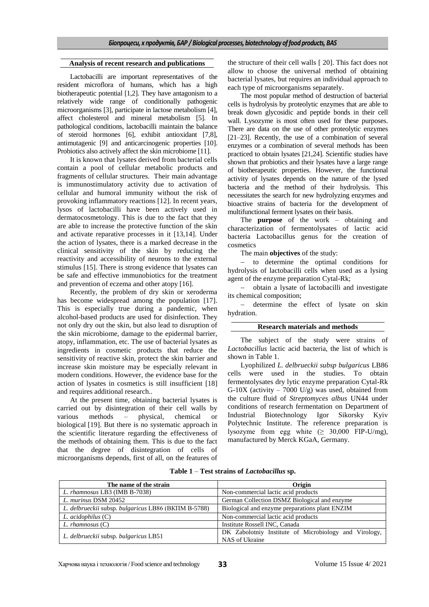## **Analysis of recent research and publications**

Lactobacilli are important representatives of the resident microflora of humans, which has a high biotherapeutic potential [1,2]. They have antagonism to a relatively wide range of conditionally pathogenic microorganisms [3], participate in lactose metabolism [4], affect cholesterol and mineral metabolism [5]. In pathological conditions, lactobacilli maintain the balance of steroid hormones [6], exhibit antioxidant [7,8], antimutagenic [9] and anticarcinogenic properties [10]. Probiotics also actively affect the skin microbiome [11].

It is known that lysates derived from bacterial cells contain a pool of cellular metabolic products and fragments of cellular structures. Their main advantage is immunostimulatory activity due to activation of cellular and humoral immunity without the risk of provoking inflammatory reactions [12]. In recent years, lysos of lactobacilli have been actively used in dermatocosmetology. This is due to the fact that they are able to increase the protective function of the skin and activate reparative processes in it [13,14]. Under the action of lysates, there is a marked decrease in the clinical sensitivity of the skin by reducing the reactivity and accessibility of neurons to the external stimulus [15]. There is strong evidence that lysates can be safe and effective immunobiotics for the treatment and prevention of eczema and other atopy [16].

Recently, the problem of dry skin or xeroderma has become widespread among the population [17]. This is especially true during a pandemic, when alcohol-based products are used for disinfection. They not only dry out the skin, but also lead to disruption of the skin microbiome, damage to the epidermal barrier, atopy, inflammation, etc. The use of bacterial lysates as ingredients in cosmetic products that reduce the sensitivity of reactive skin, protect the skin barrier and increase skin moisture may be especially relevant in modern conditions. However, the evidence base for the action of lysates in cosmetics is still insufficient [18] and requires additional research..

At the present time, оbtaining bacterial lysates is carried out by disintegration of their cell walls by various methods – physical, chemical or biological [19]. But there is no systematic approach in the scientific literature regarding the effectiveness of the methods of obtaining them. This is due to the fact that the degree of disintegration of cells of microorganisms depends, first of all, on the features of

the structure of their cell walls [ 20]. This fact does not allow to choose the universal method of obtaining bacterial lysates, but requires an individual approach to each type of microorganisms separately.

The most popular method of destruction of bacterial cells is hydrolysis by proteolytic enzymes that are able to break down glycosidic and peptide bonds in their cell wall. Lysozyme is most often used for these purposes. There are data on the use of other proteolytic enzymes [21–23]. Recently, the use of a combination of several enzymes or a combination of several methods has been practiced to obtain lysates [21,24]. Scientific studies have shown that probiotics and their lysates have a large range of biotherapeutic properties. However, the functional activity of lysates depends on the nature of the lysed bacteria and the method of their hydrolysis. This necessitates the search for new hydrolyzing enzymes and bioactive strains of bacteria for the development of multifunctional ferment lysates on their basis.

The **purpose** of the work – obtaining and characterization of fermentolysates of lactic acid bacteria Lactobacillus genus for the creation of cosmetics

The main **objectives** of the study:

 to determine the optimal conditions for hydrolysis of lactobacilli cells when used as a lysing agent of the enzyme preparation Cytal-Rk;

- obtain a lysate of lactobacilli and investigate its chemical composition;

- determine the effect of lysate on skin hydration.

### **Research materials and methods**

The subject of the study were strains of *Lactobacillus* lactic acid bacteria, the list of which is shown in Table 1.

Lyophilized *L. delbrueckii subsp bulgaricus* LB86 cells were used in the studies. To obtain fermentolysates dry lytic enzyme preparation Cytal-Rk G-10X (activity  $-7000$  U/g) was used, obtained from the culture fluid of *Streptomyces albus* UN44 under conditions of research fermentation on Department of Industrial Biotechnology Igor Sikorsky Kyiv Polytechnic Institute. The reference preparation is lysozyme from egg white  $(≥ 30,000$  FIP-U/mg), manufactured by Merck KGaA, Germany.

| The name of the strain                                                                                 | Origin                                                |  |  |  |  |
|--------------------------------------------------------------------------------------------------------|-------------------------------------------------------|--|--|--|--|
| L. rhamnosus LB3 (IMB B-7038)                                                                          | Non-commercial lactic acid products                   |  |  |  |  |
| L. murinus DSM 20452                                                                                   | German Collection DSMZ Biological and enzyme          |  |  |  |  |
| L. delbrueckii subsp. bulgaricus LB86 (BKIIM B-5788)<br>Biological and enzyme preparations plant ENZIM |                                                       |  |  |  |  |
| Non-commercial lactic acid products<br>$L.$ acidophilus $(C)$                                          |                                                       |  |  |  |  |
| Institute Rossell INC, Canada<br>$L.$ rhamnosus $(C)$                                                  |                                                       |  |  |  |  |
| L. delbrueckii subsp. bulgaricus LB51                                                                  | DK Zabolotniy Institute of Microbiology and Virology, |  |  |  |  |
|                                                                                                        | NAS of Ukraine                                        |  |  |  |  |

**Table 1** – **Test strains of** *Lactobacillus* **sp.**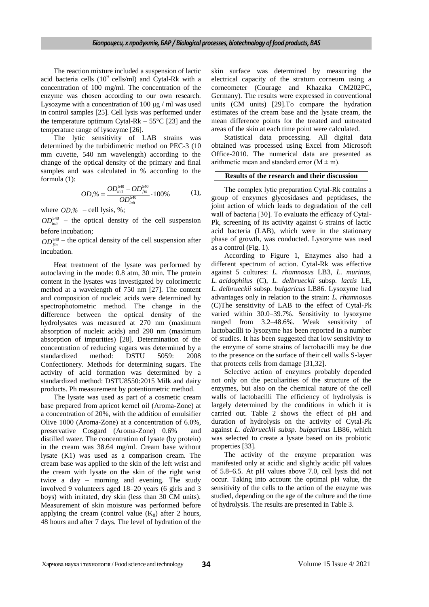The reaction mixture included a suspension of lactic acid bacteria cells  $(10^9 \text{ cells/ml})$  and Cytal-Rk with a concentration of 100 mg/ml. The concentration of the enzyme was chosen according to our own research. Lysozyme with a concentration of 100 μg / ml was used in control samples [25]. Cell lysis was performed under the temperature optimum Cytal-Rk –  $55^{\circ}$ C [23] and the temperature range of lysozyme [26].

The lytic sensitivity of LAB strains was determined by the turbidimetric method on PEC-3 (10 mm cuvette, 540 nm wavelength) according to the change of the optical density of the primary and final samples and was calculated in % according to the formula (1):

$$
OD,\% = \frac{OD_{init}^{540} - OD_{fin}^{540}}{OD_{init}^{540}} \cdot 100\% \tag{1},
$$

where *OD,%* – cell lysis, %;

 $OD<sub>init</sub><sup>540</sup>$  – the optical density of the cell suspension before incubation;

 $OD_{fin}^{540}$  – the optical density of the cell suspension after incubation.

Heat treatment of the lysate was performed by autoclaving in the mode: 0.8 atm, 30 min. The protein content in the lysates was investigated by colorimetric method at a wavelength of 750 nm [27]. The content and composition of nucleic acids were determined by spectrophotometric method. The change in the difference between the optical density of the hydrolysates was measured at 270 nm (maximum absorption of nucleic acids) and 290 nm (maximum absorption of impurities) [28]. Determination of the concentration of reducing sugars was determined by a standardized method: DSTU 5059: 2008 Confectionery. Methods for determining sugars. The activity of acid formation was determined by a standardized method: DSTU8550:2015 Milk and dairy products. Ph measurement by potentiometric method.

The lysate was used as part of a cosmetic cream base prepared from apricot kernel oil (Aroma-Zone) at a concentration of 20%, with the addition of emulsifier Olive 1000 (Aroma-Zone) at a concentration of 6.0%, preservative  $Cosgard$  (Aroma-Zone)  $0.6\%$ distilled water. The concentration of lysate (by protein) in the cream was 38.64 mg/ml. Cream base without lysate (K1) was used as a comparison cream. The cream base was applied to the skin of the left wrist and the cream with lysate on the skin of the right wrist twice a day – morning and evening. The study involved 9 volunteers aged 18–20 years (6 girls and 3 boys) with irritated, dry skin (less than 30 CM units). Measurement of skin moisture was performed before applying the cream (control value  $(K_0)$  after 2 hours, 48 hours and after 7 days. The level of hydration of the

skin surface was determined by measuring the electrical capacity of the stratum corneum using a corneometer (Courage and Khazaka CM202PC, Germany). The results were expressed in conventional units (CM units) [29].To compare the hydration estimates of the cream base and the lysate cream, the mean difference points for the treated and untreated areas of the skin at each time point were calculated.

Statistical data processing*.* All digital data obtained was processed using Excel from Microsoft Office-2010. The numerical data are presented as arithmetic mean and standard error  $(M \pm m)$ .

#### **Results of the research and their discussion**

The complex lytic preparation Сytal-Rk contains a group of enzymes glycosidases and peptidases, the joint action of which leads to degradation of the cell wall of bacteria [30]. To evaluate the efficacy of Сytal-Pk, screening of its activity against 6 strains of lactic acid bacteria (LAB), which were in the stationary phase of growth, was conducted. Lysozyme was used as a control (Fig. 1).

According to Figure 1, Enzymes also had a different spectrum of action. Cytal-Rk was effective against 5 cultures: *L. rhamnosus* LB3, *L. murinus*, *L. acidophilus* (C), *L. delbrueckii* subsp*. lactis* LE, *L. delbrueckii* subsp. *bulgaricus* LB86. Lysozyme had advantages only in relation to the strain: *L. rhamnosu*s (C)The sensitivity of LAB to the effect of Cytal-Pk varied within 30.0–39.7%. Sensitivity to lysozyme ranged from 3.2–48.6%. Weak sensitivity of lactobacilli to lysozyme has been reported in a number of studies. It has been suggested that low sensitivity to the enzyme of some strains of lactobacilli may be due to the presence on the surface of their cell walls S-layer that protects cells from damage [31,32].

Selective action of enzymes probably depended not only on the peculiarities of the structure of the enzymes, but also on the chemical nature of the cell walls of lactobacilli The efficiency of hydrolysis is largely determined by the conditions in which it is carried out. Table 2 shows the effect of pH and duration of hydrolysis on the activity of Cytal-Pk against *L. delbrueckii subsp. bulgaricus* LB86, which was selected to create a lysate based on its probiotic properties [33].

The activity of the enzyme preparation was manifested only at acidic and slightly acidic pH values of 5.8–6.5. At pH values above 7.0, cell lysis did not occur. Taking into account the optimal pH value, the sensitivity of the cells to the action of the enzyme was studied, depending on the age of the culture and the time of hydrolysis. The results are presented in Table 3.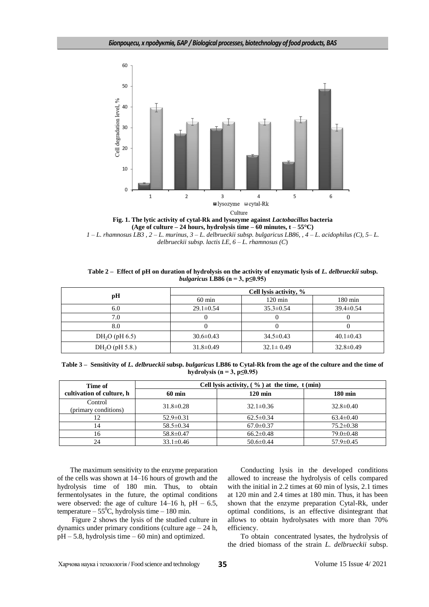

**Fig. 1. The lytic activity of cytal-Rk and lysozyme against** *Lactobacillus* **bacteria (Age of culture – 24 hours, hydrolysis time – 60 minutes, t** – **55°C)** *1 – L. rhamnosus LB3 , 2 – L. murinus, 3 – L. delbrueckii subsp. bulgaricus LB86, , 4 – L. acidophilus (C), 5– L.* 

*delbrueckii subsp. lactis LE, 6 – L. rhamnosus (C*)

| Table 2 – Effect of pH on duration of hydrolysis on the activity of enzymatic lysis of L. delbrueckii subsp. |
|--------------------------------------------------------------------------------------------------------------|
| bulgaricus LB86 (n = 3, p $\leq$ 0.95)                                                                       |

|                  | Cell lysis activity, % |                   |                   |  |
|------------------|------------------------|-------------------|-------------------|--|
| рH               | $60 \text{ min}$       | $120 \text{ min}$ | $180 \text{ min}$ |  |
| 6.0              | $29.1 \pm 0.54$        | $35.3 \pm 0.54$   | $39.4 \pm 0.54$   |  |
| 7.0              |                        |                   |                   |  |
| 8.0              |                        |                   |                   |  |
| $DH2O$ (pH 6.5)  | $30.6 \pm 0.43$        | $34.5 \pm 0.43$   | $40.1 \pm 0.43$   |  |
| $DH2O$ (pH 5.8.) | $31.8 \pm 0.49$        |                   | $32.8 \pm 0.49$   |  |

| Table 3 – Sensitivity of L. delbrueckii subsp. bulgaricus LB86 to Cytal-Rk from the age of the culture and the time of |
|------------------------------------------------------------------------------------------------------------------------|
| hydrolysis (n = 3, p $\leq$ 0.95)                                                                                      |

| Time of                         | Cell lysis activity, $(\% )$ at the time, t (min) |                   |                   |  |
|---------------------------------|---------------------------------------------------|-------------------|-------------------|--|
| cultivation of culture, h       | $60 \text{ min}$                                  | $120 \text{ min}$ | $180 \text{ min}$ |  |
| Control<br>(primary conditions) | $31.8 \pm 0.28$                                   | $32.1 \pm 0.36$   | $32.8 \pm 0.40$   |  |
| 12                              | $52.9 \pm 0.31$                                   | $62.5 \pm 0.34$   | $63.4 \pm 0.40$   |  |
| 14                              | $58.5 \pm 0.34$                                   | $67.0 \pm 0.37$   | $75.2 \pm 0.38$   |  |
| 16                              | 58.8±0.47                                         | $66.2 \pm 0.48$   | $79.0 \pm 0.48$   |  |
| 24                              | $33.1 \pm 0.46$                                   | $50.6 \pm 0.44$   | $57.9 \pm 0.45$   |  |

The maximum sensitivity to the enzyme preparation of the cells was shown at 14–16 hours of growth and the hydrolysis time of 180 min. Thus, to obtain fermentolysates in the future, the optimal conditions were observed: the age of culture  $14-16$  h,  $pH - 6.5$ , temperature –  $55^{\circ}$ C, hydrolysis time – 180 min.

Figure 2 shows the lysis of the studied culture in dynamics under primary conditions (culture age  $-24$  h,  $pH - 5.8$ , hydrolysis time  $-60$  min) and optimized.

Conducting lysis in the developed conditions allowed to increase the hydrolysis of cells compared with the initial in 2.2 times at 60 min of lysis, 2.1 times at 120 min and 2.4 times at 180 min. Thus, it has been shown that the enzyme preparation Cytal-Rk, under optimal conditions, is an effective disintegrant that allows to obtain hydrolysates with more than 70% efficiency.

To obtain concentrated lysates, the hydrolysis of the dried biomass of the strain *L. delbrueckii* subsp.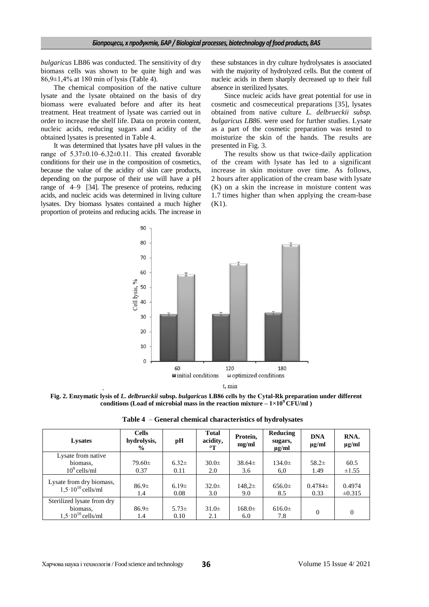*bulgaricus* LB86 was conducted. The sensitivity of dry biomass cells was shown to be quite high and was 86,9±1,4% at 180 min of lysis (Table 4).

The chemical composition of the native culture lysate and the lysate obtained on the basis of dry biomass were evaluated before and after its heat treatment. Heat treatment of lysate was carried out in order to increase the shelf life. Data on protein content, nucleic acids, reducing sugars and acidity of the obtained lysates is presented in Table 4.

It was determined that lysates have pH values in the range of 5.37±0.10–6.32±0.11. This created favorable conditions for their use in the composition of cosmetics, because the value of the acidity of skin care products, depending on the purpose of their use will have a pH range of 4–9 [34]. The presence of proteins, reducing acids, and nucleic acids was determined in living culture lysates. Dry biomass lysates contained a much higher proportion of proteins and reducing acids. The increase in

these substances in dry culture hydrolysates is associated with the majority of hydrolyzed cells. But the content of nucleic acids in them sharply decreased up to their full absence in sterilized lysates.

Since nucleic acids have great potential for use in cosmetic and cosmeceutical preparations [35], lysates obtained from native culture *L. delbrueckii subsp. bulgaricus LB86*. were used for further studies. Lysate as a part of the cosmetic preparation was tested to moisturize the skin of the hands. The results are presented in Fig. 3.

The results show us that twice-daily application of the cream with lysate has led to a significant increase in skin moisture over time. As follows, 2 hours after application of the cream base with lysate (K) on a skin the increase in moisture content was 1.7 times higher than when applying the cream-base (K1).



**Fig. 2. Enzymatic lysis of** *L. delbrueckii* **subsp.** *bulgaricus* **LB86 cells by the Сytal-Rk preparation under different conditions** (Load of microbial mass in the reaction mixture  $-1 \times 10^9$  CFU/ml )

**Table 4** – **General chemical characteristics of hydrolysates**

| <b>Lysates</b>                                           | <b>Cells</b><br>hydrolysis,<br>$\frac{1}{2}$ | pН                 | <b>Total</b><br>acidity,<br>$\circ$ T | Protein,<br>mg/ml | Reducing<br>sugars,<br>$\mu$ g/ml | <b>DNA</b><br>$\mu$ g/ml | RNA.<br>$\mu$ g/ml    |
|----------------------------------------------------------|----------------------------------------------|--------------------|---------------------------------------|-------------------|-----------------------------------|--------------------------|-----------------------|
| Lysate from native                                       |                                              |                    |                                       |                   |                                   |                          |                       |
| biomass,                                                 | $79.60 \pm$                                  | $6.32 \pm$         | $30.0 \pm$                            | $38.64\pm$        | $134.0 \pm$                       | $58.2\pm$                | 60.5                  |
| $10^9$ cells/ml                                          | 0.37                                         | 0.11               | 2.0                                   | 3.6               | 6,0                               | 1.49                     | $\pm 1.55$            |
| Lysate from dry biomass,<br>$1.5 \cdot 10^{10}$ cells/ml | 86.9±<br>1.4                                 | 6.19 $\pm$<br>0.08 | $32.0 \pm$<br>3.0                     | $148.2\pm$<br>9.0 | $656.0\pm$<br>8.5                 | $0.4784\pm$<br>0.33      | 0.4974<br>$\pm 0.315$ |
| Sterilized lysate from dry                               |                                              |                    |                                       |                   |                                   |                          |                       |
| biomass,<br>$1.5 \cdot 10^{10}$ cells/ml                 | 86.9±<br>1.4                                 | $5.73\pm$<br>0.10  | $31.0\pm$<br>2.1                      | $168.0\pm$<br>6.0 | $616.0\pm$<br>7.8                 | $\Omega$                 | $\theta$              |

.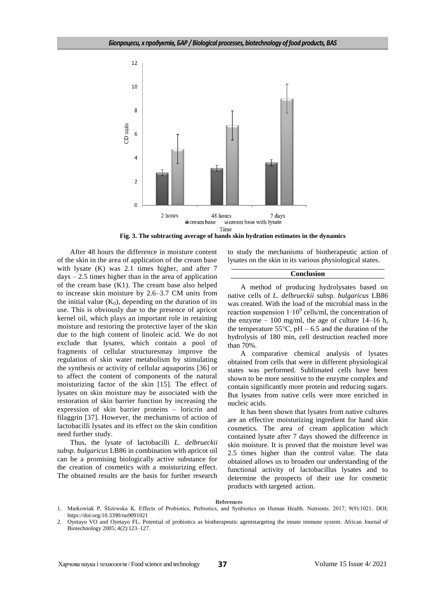

**Fig. 3. The subtracting average of hands skin hydration estimates in the dynamics**

After 48 hours the difference in moisture content of the skin in the area of application of the cream base with lysate (K) was 2.1 times higher, and after 7  $days - 2.5$  times higher than in the area of application of the cream base (K1). The cream base also helped to increase skin moisture by 2.6–3.7 CM units from the initial value  $(K_0)$ , depending on the duration of its use. This is obviously due to the presence of apricot kernel oil, which plays an important role in retaining moisture and restoring the protective layer of the skin due to the high content of linoleic acid. We do not exclude that lysates, which contain a pool of fragments of cellular structuresmay improve the regulation of skin water metabolism by stimulating the synthesis or activity of cellular aquaporins [36] or to affect the content of components of the natural moisturizing factor of the skin [15]. The effect of lysates on skin moisture may be associated with the restoration of skin barrier function by increasing the expression of skin barrier proteins – loricrin and filaggrin [37]. However, the mechanisms of action of lactobacilli lysates and its effect on the skin condition need further study.

Thus, the lysate of lactobacilli *L. delbrueckii subsp. bulgaricus* LB86 in combination with apricot oil can be a promising biologically active substance for the creation of cosmetics with a moisturizing effect. The obtained results are the basis for further research

to study the mechanisms of biotherapeutic action of lysates on the skin in its various physiological states.

#### **Conclusion**

A method of producing hydrolysates based on native cells of *L. delbrueckii* subsp. *bulgaricus* LB86 was created. With the load of the microbial mass in the reaction suspension  $1.10^9$  cells/ml, the concentration of the enzyme  $-100$  mg/ml, the age of culture 14–16 h, the temperature  $55^{\circ}$ C, pH – 6.5 and the duration of the hydrolysis of 180 min, cell destruction reached more than 70%.

A comparative chemical analysis of lysates obtained from cells that were in different physiological states was performed. Sublimated cells have been shown to be more sensitive to the enzyme complex and contain significantly more protein and reducing sugars. But lysates from native cells were more enriched in nucleic acids.

It has been shown that lysates from native cultures are an effective moisturizing ingredient for hand skin cosmetics. The area of cream application which contained lysate after 7 days showed the difference in skin moisture. It is proved that the moisture level was 2.5 times higher than the control value. The data obtained allows us to broaden our understanding of the functional activity of lactobacillus lysates and to determine the prospects of their use for cosmetic products with targeted action.

#### **References**

<sup>1.</sup> Markowiak P, Śliżewska K. Effects of Probiotics, Prebiotics, and Synbiotics on Human Health. Nutrients. 2017; 9(9):1021. DOI: https://doi:org[/10.3390/nu9091021](https://dx.doi.org/10.3390%2Fnu9091021)

<sup>2.</sup> Oyetayo VO and Oyetayo FL. Potential of probiotics as biotherapeutic agentstargeting the innate immune system. African Journal of Biotechnology 2005; 4(2):123–127.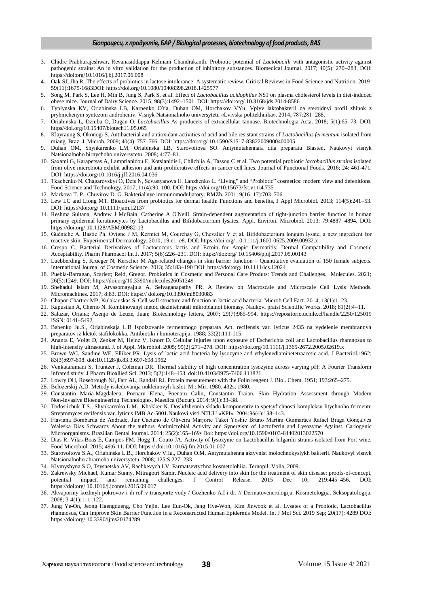### *Біопроцеси, х продуктів, БАР / Biological processes, biotechnology of food products, BAS*

- 3. Chidre Prabhurajeshwar, Revanasiddappa Kelmani Chandrakanth. Probiotic potential of *Lactobacilli* with antagonistic activity against pathogenic strains: An in vitro validation for the production of inhibitory substances. Biomedical Journal. 2017; 40(5): 270–283. DOI: https://doi:or[g/10.1016/j.bj.2017.06.008](https://dx.doi.org/10.1016%2Fj.bj.2017.06.008)
- 4. Oak SJ, Jha R. The effects of probiotics in lactose intolerance: A systematic review. Critical Reviews in Food Science and Nutrition. 2019; 59(11):1675-1683DOI: <https://doi.org/10.1080/10408398.2018.1425977>
- 5. Song M, Park S, Lee H, Min B, Jung S, Park S, et al. Effect of *Lactobacillus acidophilus* NS1 on plasma cholesterol levels in diet-induced obese mice. Journal of Dairy Science. 2015; 98(3):1492–1501. DOI: https://doi:org/ [10.3168/jds.2014-8586](https://doi.org/10.3168/jds.2014-8586)
- 6. Typlynska KV, Oriabinska LB, Karpenko OYa, Duhan OM, Horchakov VYu. Vplyv laktobakterii na steroidnyi profil zhinok z pryhnichenym syntezom androheniv. Visnyk Natsionalnoho universytetu «Lvivska politekhnika». 2014; 787:281–288.
- 7. Oriabinska L, Dziuba O, Dugan O. *Lactobacillus* As producers of extracellular tannase. Biotechnologia Acta. 2018; 5(1):65–73. DOI: https//doi.org/10.15407/biotech11.05.065
- 8. Klayraung S, Okonogi S. Antibacterial and antioxidant activities of acid and bile resistant strains of *Lactobacillus fermentum* isolated from miang. Braz. J. Microb*.* 2009; 40(4): 757–766. DOI: https://doi:org/ [10.1590/S1517-83822009000400005](https://dx.doi.org/10.1590%2FS1517-83822009000400005)
- 9. Duhan OM, Shynkarenko LM, Oriabinska LB, Starovoitova SO. Antymutahennaia diia preparatu Blasten. Naukovyi visnyk Natsionalnoho hirnychoho universytetu. 2008; 4:77–81.
- 10. Saxami G, Karapetsas A, Lamprianidou E, Kotsianidis I, Chlichlia A, Tassou C et al. Two potential probiotic *lactobacillus strains* isolated from olive microbiota exhibit adhesion and anti-proliferative effects in cancer cell lines. Journal of Functional Foods. 2016; 24: 461-471. DOI: <https://doi.org/10.1016/j.jff.2016.04.036>
- 11. Tkachenko N, Chagarovskyi O, Dets N, Sevastyanova E, Lanzhenko L. "Living" and "Probiotic" cosmetics: modern view and defenitions. Food Science and Technology. 2017; 11(4):90–100. DOI: <https://doi.org/10.15673/fst.v11i4.735>
- 12. Markova T. P., Chuvirov D. G. Bakterial'nye immunomoduljatory. RMZh. 2001; 9(16–17):703–706.
- 13. Lew LC and Liong MT. Bioactives from probiotics for dermal health: Functions and benefits, J Appl Microbiol. 2013; 114(5):241–53. DOI: https://doi:org/ [10.1111/jam.12137](https://doi.org/10.1111/jam.12137)
- 14. [Reshma Sultana,](https://journals.asm.org/doi/10.1128/AEM.00982-13#con1) [Andrew J McBain,](https://journals.asm.org/doi/10.1128/AEM.00982-13#con2) [Catherine A O'Neill.](https://journals.asm.org/doi/10.1128/AEM.00982-13#con3) Strain-dependent augmentation of tight-junction barrier function in human primary epidermal keratinocytes by Lactobacillus and Bifidobacterium lysates. Appl. Environ. Microbiol. 2013; 79:4887–4894. DOI: https://doi:org[/ 10.1128/AEM.00982-13](https://doi.org/10.1128/aem.00982-13)
- 15. Guéniche A, Bastie Ph, Ovigne J M, Kermici M, Courchay G, Chevalier V et al. Bifidobacterium longum lysate, a new ingredient for reactive skin. Experimental Dermatology. 2010; 19:e1–e8. DOI: https://doi:org[/ 10.1111/j.1600-0625.2009.00932.x](https://doi.org/10.1111/j.1600-0625.2009.00932.x)
- 16. Crespo C. Bacterial Derivatives of Lactococcus lactis and Ectoin for Atopic Dermatitis: Dermal Compatibility and Cosmetic Acceptability. Pharm Pharmacol Int J. 2017; 5(6):226–231. DOI: https://doi:org/ [10.15406/ppij.2017.05.00143](https://doi.org/10.15406/ppij.2017.05.00143)
- 17. Luebberding S, Krueger N, Kerscher M Age-related changes in skin barrier function Quantitative evaluation of 150 female subjects. International Journal of Cosmetic Science. 2013; 35:183–190 DOI:<https://doi:org/> [10.1111/ics.12024](https://doi.org/10.1111/ics.12024)
- 18. Puebla-Barragan, Scarlett; Reid, Gregor. Probiotics in Cosmetic and Personal Care Produts: Trends and Challenges. Molecules. 2021; 26(5):1249. DOI: https://doi.org/10.3390/molecules26051249
- 19. Shehadul Islam M, Aryasomayajula A, Selvaganapathy PR. A Review on Macroscale and Microscale Cell Lysis Methods. Micromachines. 2017; 8:83. DOI: https:// [doi.org/10.3390/mi8030083](https://doi.org/10.3390/mi8030083)
- 20. Chapot-Chartier MP, Kulakauskas S. Cell wall structure and function in lactic acid bacteria. Microb Cell Fact. 2014; 13(1):1–23.
- 21. Kapustian A, Cherno N. Kombinovanyi metod dezintehratsii mikrobialnoi biomasy. Naukovi pratsi Scientific Works. 2018; 81(2):4–11.
- 22. Salazar, Oriana; Asenjo de Leuze, Juan; Biotechnology letters, 2007; 29(7):985-994, https://repositorio.uchile.cl/handle/2250/125019 ISSN: 0141–5492.
- 23. Babenko Ju.S., Orjabinskaja L.B Ispolzovanie fermentnogo preparata Act. recifensis var. lyticus 2435 na vydelenie membrannyh preparatov iz kletok stafilokokka. Antibiotiki i himioterapija. 1988; 33(2):111-115.
- 24. Ananta E, Voigt D, Zenker M, Heinz V, Knorr D. Cellular injuries upon exposure of Escherichia coli and Lactobacillus rhamnosus to high-intensity ultrasound. J. of Appl. Microbiol. 2005; 99(2):271-278. DOI[: https://doi.org/10.1111/j.1365-2672.2005.02619.x](https://doi.org/10.1111/j.1365-2672.2005.02619.x)
- 25. Brown WC, Sandine WE, Elliker PR. Lysis of lactic acid bacteria by lysozyme and ethylenediaminetetraacetic acid. J Bacteriol.1962; 83(3):697-698. doi:10.1128/jb.83.3.697-698.1962
- 26. Venkataramani S, Truntzer J, Coleman DR. Thermal stability of high concentration lysozyme across varying pH: A Fourier Transform Infrared study. J Pharm Bioallied Sci. 2013; 5(2):148–153. doi:10.4103/0975-7406.111821
- 27. Lowry OH, Rosebrough NJ, Farr AL, Randall RJ. Protein measurement with the Folin reagent J. Biol. Chem. 1951; 193:265–275.
- 28. Belozerskij A.D. Metody issledovanija nukleinovyh kislot. M.: Mir, 1980. 432s; 1980.
- 29. [Constantin](https://www.ncbi.nlm.nih.gov/pubmed/?term=CONSTANTIN%20MM%5BAuthor%5D&cauthor=true&cauthor_uid=25553123) Maria-Magdalena, [Poenaru](https://www.ncbi.nlm.nih.gov/pubmed/?term=POENARU%20E%5BAuthor%5D&cauthor=true&cauthor_uid=25553123) Elena, [Poenaru](https://www.ncbi.nlm.nih.gov/pubmed/?term=POENARU%20C%5BAuthor%5D&cauthor=true&cauthor_uid=25553123) Calin, [Constantin](https://www.ncbi.nlm.nih.gov/pubmed/?term=CONSTANTIN%20T%5BAuthor%5D&cauthor=true&cauthor_uid=25553123) Traian. Skin Hydration Assessment through Modern Non-Invasive Bioengineering Technologies. [Maedica](https://www.ncbi.nlm.nih.gov/pmc/articles/PMC4268288/) (Bucur). 2014; 9(1):33–38.
- 30. Todosiichuk T.S., Shynkarenko L.M., Khokker N. Doslidzhennia skladu komponentiv ta spetsyfichnosti kompleksu litychnoho fermentu Streptomyces recifensis var. lyticus IMB Ac-5001.Naukovi visti NTUU «KPI». 2004;36(4):138–143.
- 31. Flaviana Bombarda de Andrade, Jair Caetano de Oliveira Marjorie Takei Yoshie Bruno Martini Guimarães Rafael Braga Gonçalves Waleska Dias Schwarcz About the authors Antimicrobial Activity and Synergism of Lactoferrin and Lysozyme Against. Cariogenic Microorganisms. Brazilian Dental Journal. 2014; 25(2):165–169• Doi[: https://doi.org/10.1590/0103-64402013022570](https://doi.org/10.1590/0103-64402013022570)
- 32. Dias R, Vilas-Boas E, Campos FM, Hogg T, Couto JA. Activity of lysozyme on Lactobacillus hilgardii strains isolated from Port wine. Food Microbiol. 2015; 49:6-11. DOI: https:// doi:10.1016/j.fm.2015.01.007
- 33. Starovoitova S.A., Oriabinska L.B., Horchakov V.Iu., Duhan O.M. Antymutahenna aktyvnist molochnokyslykh bakterii. Naukovyi visnyk Natsionalnoho ahrarnoho universytetu. 2008; 125:S.227–233
- 34. Klymyshyna S.O, Tsysnetska AV, Rachkevych LV. Farmatsevtychna kosmetolohiia. Ternopil:.Volia, 2009.
- 35. [Zakrewsky](https://www.ncbi.nlm.nih.gov/pubmed/?term=Zakrewsky%20M%5BAuthor%5D&cauthor=true&cauthor_uid=26385169) Michael, [Kumar](https://www.ncbi.nlm.nih.gov/pubmed/?term=Kumar%20S%5BAuthor%5D&cauthor=true&cauthor_uid=26385169) Sunny, [Mitragotri](https://www.ncbi.nlm.nih.gov/pubmed/?term=Mitragotri%20S%5BAuthor%5D&cauthor=true&cauthor_uid=26385169) Samir..Nucleic acid delivery into skin for the treatment of skin disease: proofs-of-concept, potential impact, and remaining challenges. [J Control Release. 2015 Dec 10; 219:445–456.](file:///C:/Users/Татьяна/Desktop/стаття/J%20Control%20Release.%202015%20Dec%2010;%20219:445–456) DOI: https://doi:org[/ 10.1016/j.jconrel.2015.09.017](https://doi.org/10.1016/j.jconrel.2015.09.017)
- 36. Akvaporiny kozhnyh pokrovov i ih rol' v transporte vody / Gozhenko A.I i dr. // Dermatovenerologija. Kosmetologija. Seksopatologija. 2008; 3-4(1):111–122.
- 37. [Jung](https://www.ncbi.nlm.nih.gov/pubmed/?term=Jung%20YO%5BAuthor%5D&cauthor=true&cauthor_uid=31480681) Ye-On, [Jeong](https://www.ncbi.nlm.nih.gov/pubmed/?term=Jeong%20H%5BAuthor%5D&cauthor=true&cauthor_uid=31480681) Haengdueng, [Cho](https://www.ncbi.nlm.nih.gov/pubmed/?term=Cho%20Y%5BAuthor%5D&cauthor=true&cauthor_uid=31480681) Yejin, [Lee](https://www.ncbi.nlm.nih.gov/pubmed/?term=Lee%20EO%5BAuthor%5D&cauthor=true&cauthor_uid=31480681) Eun-Ok, [Jang](https://www.ncbi.nlm.nih.gov/pubmed/?term=Jang%20HW%5BAuthor%5D&cauthor=true&cauthor_uid=31480681) Hye-Won, [Kim](https://www.ncbi.nlm.nih.gov/pubmed/?term=Kim%20J%5BAuthor%5D&cauthor=true&cauthor_uid=31480681) Jinwook et al. Lysates of a Probiotic, Lactobacillus rhamnosus, Can Improve Skin Barrier Function in a Reconstructed Human Epidermis Model. [Int J Mol Sci.](https://www.ncbi.nlm.nih.gov/pmc/articles/PMC6747158/) 2019 Sep; 20(17): 4289 DOI: https://doi:org[/ 10.3390/ijms20174289](https://doi.org/10.3390/ijms20174289)